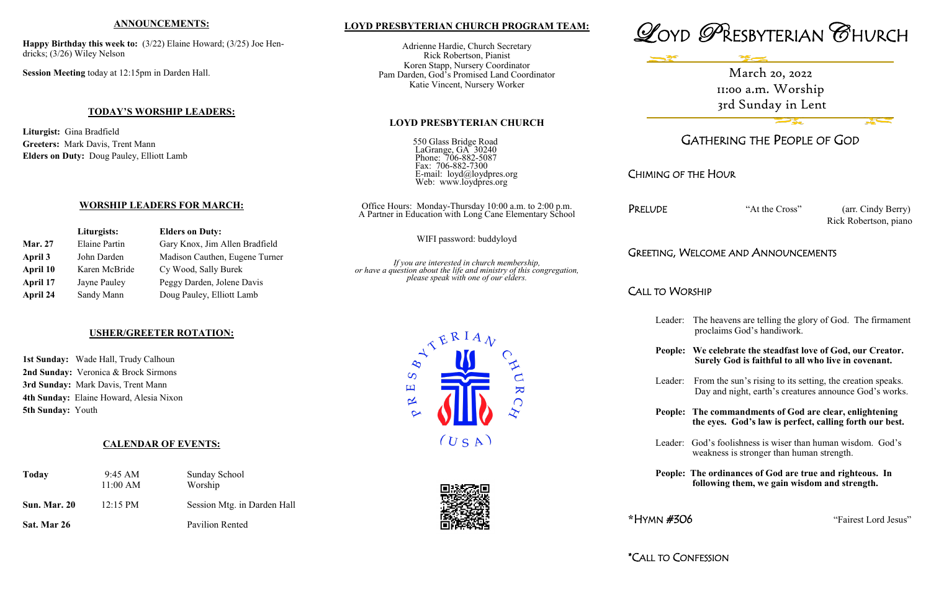### **LOYD PRESBYTERIAN CHURCH PROGRAM TEAM:**

Adrienne Hardie, Church Secretary Rick Robertson, Pianist Koren Stapp, Nursery Coordinator Pam Darden, God's Promised Land Coordinator Katie Vincent, Nursery Worker

### **LOYD PRESBYTERIAN CHURCH**

550 Glass Bridge Road LaGrange, GA 30240 Phone: 706-882-5087 Fax: 706-882-7300 E-mail: loyd@loydpres.org Web: www.loydpres.org

> PRELUDE "At the Cross" (arr. Cindy Berry) Rick Robertson, piano

Office Hours: Monday-Thursday 10:00 a.m. to 2:00 p.m. A Partner in Education with Long Cane Elementary School

WIFI password: buddyloyd

*If you are interested in church membership, or have a question about the life and ministry of this congregation, please speak with one of our elders.*

 $\overline{\mathbf{K}}$ 

 $\bigcap$ 

 $\infty$  $\overline{S}$ 凹

 $\propto$ 





# GATHERING THE PEOPLE OF GOD

## CHIMING OF THE HOUR

## GREETING, WELCOME AND ANNOUNCEMENTS

## CALL TO WORSHIP

Leader: The heavens are telling the glory of God. The firmament proclaims God's handiwork.

**People: We celebrate the steadfast love of God, our Creator. Surely God is faithful to all who live in covenant.** 

Leader: From the sun's rising to its setting, the creation speaks. Day and night, earth's creatures announce God's works.

**People: The commandments of God are clear, enlightening the eyes. God's law is perfect, calling forth our best.** 

Leader: God's foolishness is wiser than human wisdom. God's weakness is stronger than human strength.

**People: The ordinances of God are true and righteous. In following them, we gain wisdom and strength.**

**\***HYMN #306 "Fairest Lord Jesus"

### **ANNOUNCEMENTS:**

**Happy Birthday this week to:** (3/22) Elaine Howard; (3/25) Joe Hendricks; (3/26) Wiley Nelson

**Session Meeting** today at 12:15pm in Darden Hall.

### **TODAY'S WORSHIP LEADERS:**

**Liturgist:** Gina Bradfield **Greeters:** Mark Davis, Trent Mann **Elders on Duty:** Doug Pauley, Elliott Lamb

## **WORSHIP LEADERS FOR MARCH:**

|                | Liturgists:                                            | <b>Elders on Duty:</b>         |  |
|----------------|--------------------------------------------------------|--------------------------------|--|
| <b>Mar. 27</b> | <b>Elaine Partin</b><br>Gary Knox, Jim Allen Bradfield |                                |  |
| April 3        | John Darden                                            | Madison Cauthen, Eugene Turner |  |
| April 10       | Karen McBride                                          | Cy Wood, Sally Burek           |  |
| April 17       | Jayne Pauley                                           | Peggy Darden, Jolene Davis     |  |
| April 24       | Sandy Mann                                             | Doug Pauley, Elliott Lamb      |  |

### **USHER/GREETER ROTATION:**

**1st Sunday:** Wade Hall, Trudy Calhoun 2nd Sunday: Veronica & Brock Sirmons **3rd Sunday:** Mark Davis, Trent Mann **4th Sunday:** Elaine Howard, Alesia Nixon **5th Sunday:** Youth

## **CALENDAR OF EVENTS:**

| Today               | $9:45 \text{ AM}$<br>11:00 AM | Sunday School<br>Worship    |
|---------------------|-------------------------------|-----------------------------|
| <b>Sun. Mar. 20</b> | $12:15 \text{ PM}$            | Session Mtg. in Darden Hall |
| Sat. Mar 26         |                               | Pavilion Rented             |



 $(U S A)$ 

March 20, 2022 11:00 a.m. Worship 3rd Sunday in Lent